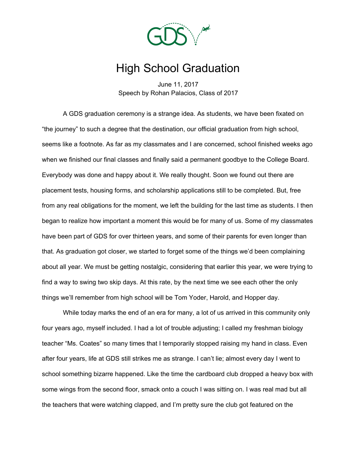

## High School Graduation

June 11, 2017 Speech by Rohan Palacios, Class of 2017

A GDS graduation ceremony is a strange idea. As students, we have been fixated on "the journey" to such a degree that the destination, our official graduation from high school, seems like a footnote. As far as my classmates and I are concerned, school finished weeks ago when we finished our final classes and finally said a permanent goodbye to the College Board. Everybody was done and happy about it. We really thought. Soon we found out there are placement tests, housing forms, and scholarship applications still to be completed. But, free from any real obligations for the moment, we left the building for the last time as students. I then began to realize how important a moment this would be for many of us. Some of my classmates have been part of GDS for over thirteen years, and some of their parents for even longer than that. As graduation got closer, we started to forget some of the things we'd been complaining about all year. We must be getting nostalgic, considering that earlier this year, we were trying to find a way to swing two skip days. At this rate, by the next time we see each other the only things we'll remember from high school will be Tom Yoder, Harold, and Hopper day.

While today marks the end of an era for many, a lot of us arrived in this community only four years ago, myself included. I had a lot of trouble adjusting; I called my freshman biology teacher "Ms. Coates" so many times that I temporarily stopped raising my hand in class. Even after four years, life at GDS still strikes me as strange. I can't lie; almost every day I went to school something bizarre happened. Like the time the cardboard club dropped a heavy box with some wings from the second floor, smack onto a couch I was sitting on. I was real mad but all the teachers that were watching clapped, and I'm pretty sure the club got featured on the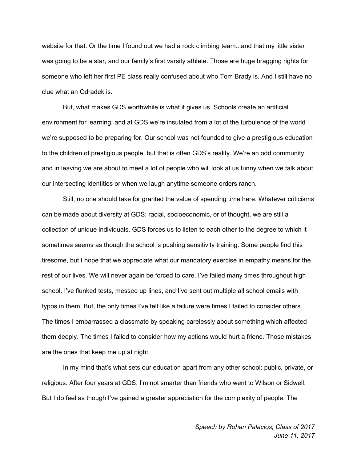website for that. Or the time I found out we had a rock climbing team...and that my little sister was going to be a star, and our family's first varsity athlete. Those are huge bragging rights for someone who left her first PE class really confused about who Tom Brady is. And I still have no clue what an Odradek is.

But, what makes GDS worthwhile is what it gives us. Schools create an artificial environment for learning, and at GDS we're insulated from a lot of the turbulence of the world we're supposed to be preparing for. Our school was not founded to give a prestigious education to the children of prestigious people, but that is often GDS's reality. We're an odd community, and in leaving we are about to meet a lot of people who will look at us funny when we talk about our intersecting identities or when we laugh anytime someone orders ranch.

Still, no one should take for granted the value of spending time here. Whatever criticisms can be made about diversity at GDS: racial, socioeconomic, or of thought, we are still a collection of unique individuals. GDS forces us to listen to each other to the degree to which it sometimes seems as though the school is pushing sensitivity training. Some people find this tiresome, but I hope that we appreciate what our mandatory exercise in empathy means for the rest of our lives. We will never again be forced to care. I've failed many times throughout high school. I've flunked tests, messed up lines, and I've sent out multiple all school emails with typos in them. But, the only times I've felt like a failure were times I failed to consider others. The times I embarrassed a classmate by speaking carelessly about something which affected them deeply. The times I failed to consider how my actions would hurt a friend. Those mistakes are the ones that keep me up at night.

In my mind that's what sets our education apart from any other school: public, private, or religious. After four years at GDS, I'm not smarter than friends who went to Wilson or Sidwell. But I do feel as though I've gained a greater appreciation for the complexity of people. The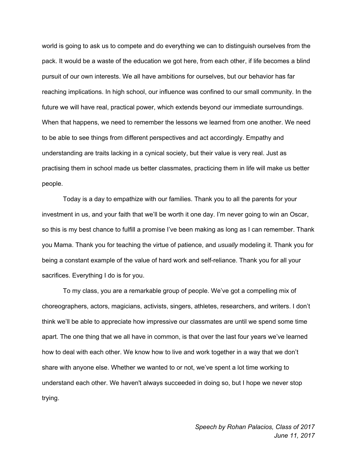world is going to ask us to compete and do everything we can to distinguish ourselves from the pack. It would be a waste of the education we got here, from each other, if life becomes a blind pursuit of our own interests. We all have ambitions for ourselves, but our behavior has far reaching implications. In high school, our influence was confined to our small community. In the future we will have real, practical power, which extends beyond our immediate surroundings. When that happens, we need to remember the lessons we learned from one another. We need to be able to see things from different perspectives and act accordingly. Empathy and understanding are traits lacking in a cynical society, but their value is very real. Just as practising them in school made us better classmates, practicing them in life will make us better people.

Today is a day to empathize with our families. Thank you to all the parents for your investment in us, and your faith that we'll be worth it one day. I'm never going to win an Oscar, so this is my best chance to fulfill a promise I've been making as long as I can remember. Thank you Mama. Thank you for teaching the virtue of patience, and *usually* modeling it. Thank you for being a constant example of the value of hard work and self-reliance. Thank you for all your sacrifices. Everything I do is for you.

To my class, you are a remarkable group of people. We've got a compelling mix of choreographers, actors, magicians, activists, singers, athletes, researchers, and writers. I don't think we'll be able to appreciate how impressive our classmates are until we spend some time apart. The one thing that we all have in common, is that over the last four years we've learned how to deal with each other. We know how to live and work together in a way that we don't share with anyone else. Whether we wanted to or not, we've spent a lot time working to understand each other. We haven't always succeeded in doing so, but I hope we never stop trying.